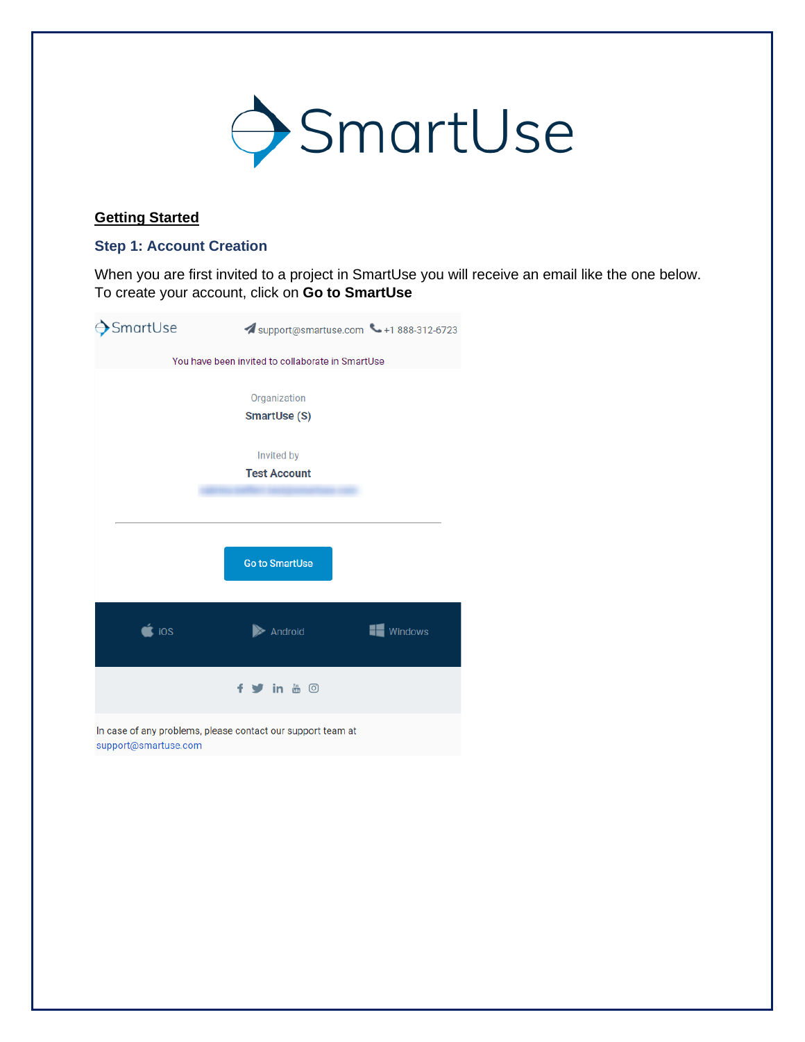

# **Getting Started**

#### **Step 1: Account Creation**

When you are first invited to a project in SmartUse you will receive an email like the one below. To create your account, click on **Go to SmartUse**

| SmartUse | Support@smartuse.com -+1888-312-6723                        |         |
|----------|-------------------------------------------------------------|---------|
|          | You have been invited to collaborate in SmartUse            |         |
|          | Organization<br>SmartUse (S)                                |         |
|          | Invited by                                                  |         |
|          | <b>Test Account</b>                                         |         |
|          |                                                             |         |
|          | <b>Go to SmartUse</b>                                       |         |
| ios      | Android                                                     | Windows |
|          | f y in & O                                                  |         |
|          | In case of any problems, please contact our support team at |         |

support@smartuse.com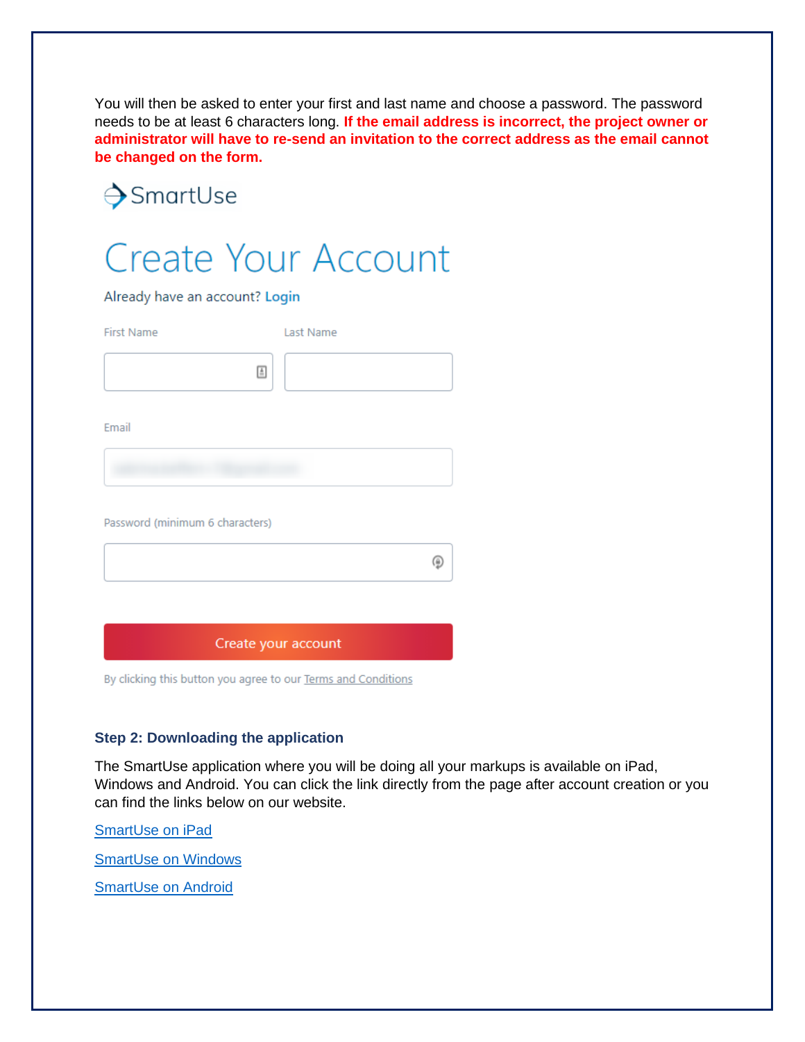You will then be asked to enter your first and last name and choose a password. The password needs to be at least 6 characters long. **If the email address is incorrect, the project owner or administrator will have to re-send an invitation to the correct address as the email cannot be changed on the form.**

# →SmartUse



Already have an account? Login

First Name Last Name  $\triangleq$ 

Email

Password (minimum 6 characters)

Create your account

By clicking this button you agree to our Terms and Conditions

## **Step 2: Downloading the application**

The SmartUse application where you will be doing all your markups is available on iPad, Windows and Android. You can click the link directly from the page after account creation or you can find the links below on our website.

⊕

[SmartUse on](https://www.smartuse.com/construction-app-ipad-iphone/) iPad

[SmartUse on Windows](https://www.smartuse.com/construction-app-windows/)

[SmartUse on Android](https://smartuse.com/construction-app-android/)